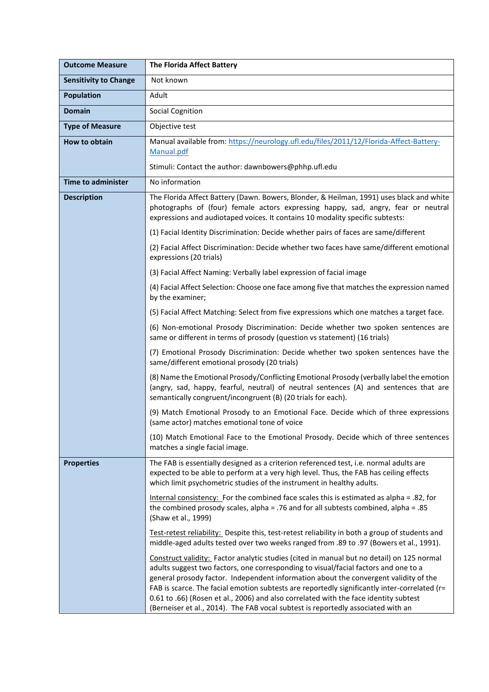| <b>Outcome Measure</b>       | The Florida Affect Battery                                                                                                                                                                                                                                                                                                                                                                                                                                                                                                                           |
|------------------------------|------------------------------------------------------------------------------------------------------------------------------------------------------------------------------------------------------------------------------------------------------------------------------------------------------------------------------------------------------------------------------------------------------------------------------------------------------------------------------------------------------------------------------------------------------|
| <b>Sensitivity to Change</b> | Not known                                                                                                                                                                                                                                                                                                                                                                                                                                                                                                                                            |
| <b>Population</b>            | Adult                                                                                                                                                                                                                                                                                                                                                                                                                                                                                                                                                |
| <b>Domain</b>                | <b>Social Cognition</b>                                                                                                                                                                                                                                                                                                                                                                                                                                                                                                                              |
| <b>Type of Measure</b>       | Objective test                                                                                                                                                                                                                                                                                                                                                                                                                                                                                                                                       |
| <b>How to obtain</b>         | Manual available from: https://neurology.ufl.edu/files/2011/12/Florida-Affect-Battery-<br>Manual.pdf                                                                                                                                                                                                                                                                                                                                                                                                                                                 |
|                              | Stimuli: Contact the author: dawnbowers@phhp.ufl.edu                                                                                                                                                                                                                                                                                                                                                                                                                                                                                                 |
| <b>Time to administer</b>    | No information                                                                                                                                                                                                                                                                                                                                                                                                                                                                                                                                       |
| <b>Description</b>           | The Florida Affect Battery (Dawn. Bowers, Blonder, & Heilman, 1991) uses black and white<br>photographs of (four) female actors expressing happy, sad, angry, fear or neutral<br>expressions and audiotaped voices. It contains 10 modality specific subtests:                                                                                                                                                                                                                                                                                       |
|                              | (1) Facial Identity Discrimination: Decide whether pairs of faces are same/different                                                                                                                                                                                                                                                                                                                                                                                                                                                                 |
|                              | (2) Facial Affect Discrimination: Decide whether two faces have same/different emotional<br>expressions (20 trials)                                                                                                                                                                                                                                                                                                                                                                                                                                  |
|                              | (3) Facial Affect Naming: Verbally label expression of facial image                                                                                                                                                                                                                                                                                                                                                                                                                                                                                  |
|                              | (4) Facial Affect Selection: Choose one face among five that matches the expression named<br>by the examiner;                                                                                                                                                                                                                                                                                                                                                                                                                                        |
|                              | (5) Facial Affect Matching: Select from five expressions which one matches a target face.                                                                                                                                                                                                                                                                                                                                                                                                                                                            |
|                              | (6) Non-emotional Prosody Discrimination: Decide whether two spoken sentences are<br>same or different in terms of prosody (question vs statement) (16 trials)                                                                                                                                                                                                                                                                                                                                                                                       |
|                              | (7) Emotional Prosody Discrimination: Decide whether two spoken sentences have the<br>same/different emotional prosody (20 trials)                                                                                                                                                                                                                                                                                                                                                                                                                   |
|                              | (8) Name the Emotional Prosody/Conflicting Emotional Prosody (verbally label the emotion<br>(angry, sad, happy, fearful, neutral) of neutral sentences (A) and sentences that are<br>semantically congruent/incongruent (B) (20 trials for each).                                                                                                                                                                                                                                                                                                    |
|                              | (9) Match Emotional Prosody to an Emotional Face. Decide which of three expressions<br>(same actor) matches emotional tone of voice                                                                                                                                                                                                                                                                                                                                                                                                                  |
|                              | (10) Match Emotional Face to the Emotional Prosody. Decide which of three sentences<br>matches a single facial image.                                                                                                                                                                                                                                                                                                                                                                                                                                |
| <b>Properties</b>            | The FAB is essentially designed as a criterion referenced test, i.e. normal adults are<br>expected to be able to perform at a very high level. Thus, the FAB has ceiling effects<br>which limit psychometric studies of the instrument in healthy adults.                                                                                                                                                                                                                                                                                            |
|                              | Internal consistency: For the combined face scales this is estimated as alpha = .82, for<br>the combined prosody scales, alpha = .76 and for all subtests combined, alpha = .85<br>(Shaw et al., 1999)                                                                                                                                                                                                                                                                                                                                               |
|                              | Test-retest reliability: Despite this, test-retest reliability in both a group of students and<br>middle-aged adults tested over two weeks ranged from .89 to .97 (Bowers et al., 1991).                                                                                                                                                                                                                                                                                                                                                             |
|                              | Construct validity: Factor analytic studies (cited in manual but no detail) on 125 normal<br>adults suggest two factors, one corresponding to visual/facial factors and one to a<br>general prosody factor. Independent information about the convergent validity of the<br>FAB is scarce. The facial emotion subtests are reportedly significantly inter-correlated (r=<br>0.61 to .66) (Rosen et al., 2006) and also correlated with the face identity subtest<br>(Berneiser et al., 2014). The FAB vocal subtest is reportedly associated with an |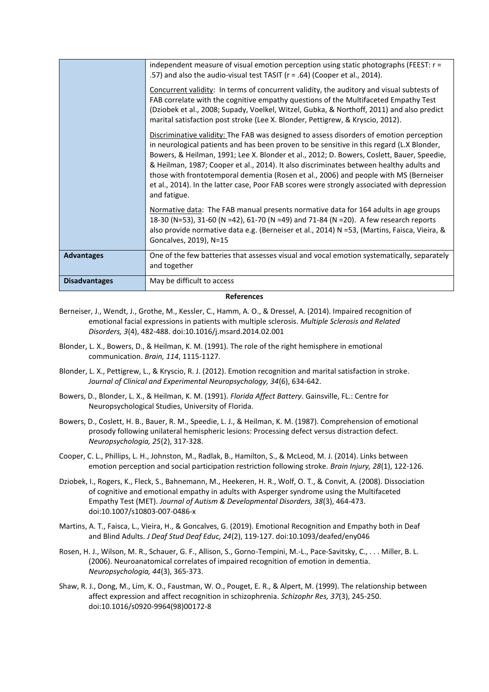|                      | independent measure of visual emotion perception using static photographs (FEEST: r =<br>.57) and also the audio-visual test TASIT (r = .64) (Cooper et al., 2014).<br>Concurrent validity: In terms of concurrent validity, the auditory and visual subtests of<br>FAB correlate with the cognitive empathy questions of the Multifaceted Empathy Test<br>(Dziobek et al., 2008; Supady, Voelkel, Witzel, Gubka, & Northoff, 2011) and also predict<br>marital satisfaction post stroke (Lee X. Blonder, Pettigrew, & Kryscio, 2012).<br>Discriminative validity: The FAB was designed to assess disorders of emotion perception<br>in neurological patients and has been proven to be sensitive in this regard (L.X Blonder,<br>Bowers, & Heilman, 1991; Lee X. Blonder et al., 2012; D. Bowers, Coslett, Bauer, Speedie, |
|----------------------|-----------------------------------------------------------------------------------------------------------------------------------------------------------------------------------------------------------------------------------------------------------------------------------------------------------------------------------------------------------------------------------------------------------------------------------------------------------------------------------------------------------------------------------------------------------------------------------------------------------------------------------------------------------------------------------------------------------------------------------------------------------------------------------------------------------------------------|
|                      | & Heilman, 1987; Cooper et al., 2014). It also discriminates between healthy adults and<br>those with frontotemporal dementia (Rosen et al., 2006) and people with MS (Berneiser<br>et al., 2014). In the latter case, Poor FAB scores were strongly associated with depression<br>and fatigue.                                                                                                                                                                                                                                                                                                                                                                                                                                                                                                                             |
|                      | Normative data: The FAB manual presents normative data for 164 adults in age groups<br>18-30 (N=53), 31-60 (N =42), 61-70 (N =49) and 71-84 (N =20). A few research reports<br>also provide normative data e.g. (Berneiser et al., 2014) N =53, (Martins, Faisca, Vieira, &<br>Goncalves, 2019), N=15                                                                                                                                                                                                                                                                                                                                                                                                                                                                                                                       |
| <b>Advantages</b>    | One of the few batteries that assesses visual and vocal emotion systematically, separately<br>and together                                                                                                                                                                                                                                                                                                                                                                                                                                                                                                                                                                                                                                                                                                                  |
| <b>Disadvantages</b> | May be difficult to access                                                                                                                                                                                                                                                                                                                                                                                                                                                                                                                                                                                                                                                                                                                                                                                                  |

## **References**

- Berneiser, J., Wendt, J., Grothe, M., Kessler, C., Hamm, A. O., & Dressel, A. (2014). Impaired recognition of emotional facial expressions in patients with multiple sclerosis. *Multiple Sclerosis and Related Disorders, 3*(4), 482-488. doi:10.1016/j.msard.2014.02.001
- Blonder, L. X., Bowers, D., & Heilman, K. M. (1991). The role of the right hemisphere in emotional communication. *Brain, 114*, 1115-1127.
- Blonder, L. X., Pettigrew, L., & Kryscio, R. J. (2012). Emotion recognition and marital satisfaction in stroke. *Journal of Clinical and Experimental Neuropsychology, 34*(6), 634-642.
- Bowers, D., Blonder, L. X., & Heilman, K. M. (1991). *Florida Affect Battery*. Gainsville, FL.: Centre for Neuropsychological Studies, University of Florida.
- Bowers, D., Coslett, H. B., Bauer, R. M., Speedie, L. J., & Heilman, K. M. (1987). Comprehension of emotional prosody following unilateral hemispheric lesions: Processing defect versus distraction defect. *Neuropsychologia, 25*(2), 317-328.
- Cooper, C. L., Phillips, L. H., Johnston, M., Radlak, B., Hamilton, S., & McLeod, M. J. (2014). Links between emotion perception and social participation restriction following stroke. *Brain Injury, 28*(1), 122-126.
- Dziobek, I., Rogers, K., Fleck, S., Bahnemann, M., Heekeren, H. R., Wolf, O. T., & Convit, A. (2008). Dissociation of cognitive and emotional empathy in adults with Asperger syndrome using the Multifaceted Empathy Test (MET). *Journal of Autism & Developmental Disorders, 38*(3), 464-473. doi:10.1007/s10803-007-0486-x
- Martins, A. T., Faisca, L., Vieira, H., & Goncalves, G. (2019). Emotional Recognition and Empathy both in Deaf and Blind Adults. *J Deaf Stud Deaf Educ, 24*(2), 119-127. doi:10.1093/deafed/eny046
- Rosen, H. J., Wilson, M. R., Schauer, G. F., Allison, S., Gorno-Tempini, M.-L., Pace-Savitsky, C., . . . Miller, B. L. (2006). Neuroanatomical correlates of impaired recognition of emotion in dementia. *Neuropsychologia, 44*(3), 365-373.
- Shaw, R. J., Dong, M., Lim, K. O., Faustman, W. O., Pouget, E. R., & Alpert, M. (1999). The relationship between affect expression and affect recognition in schizophrenia. *Schizophr Res, 37*(3), 245-250. doi:10.1016/s0920-9964(98)00172-8